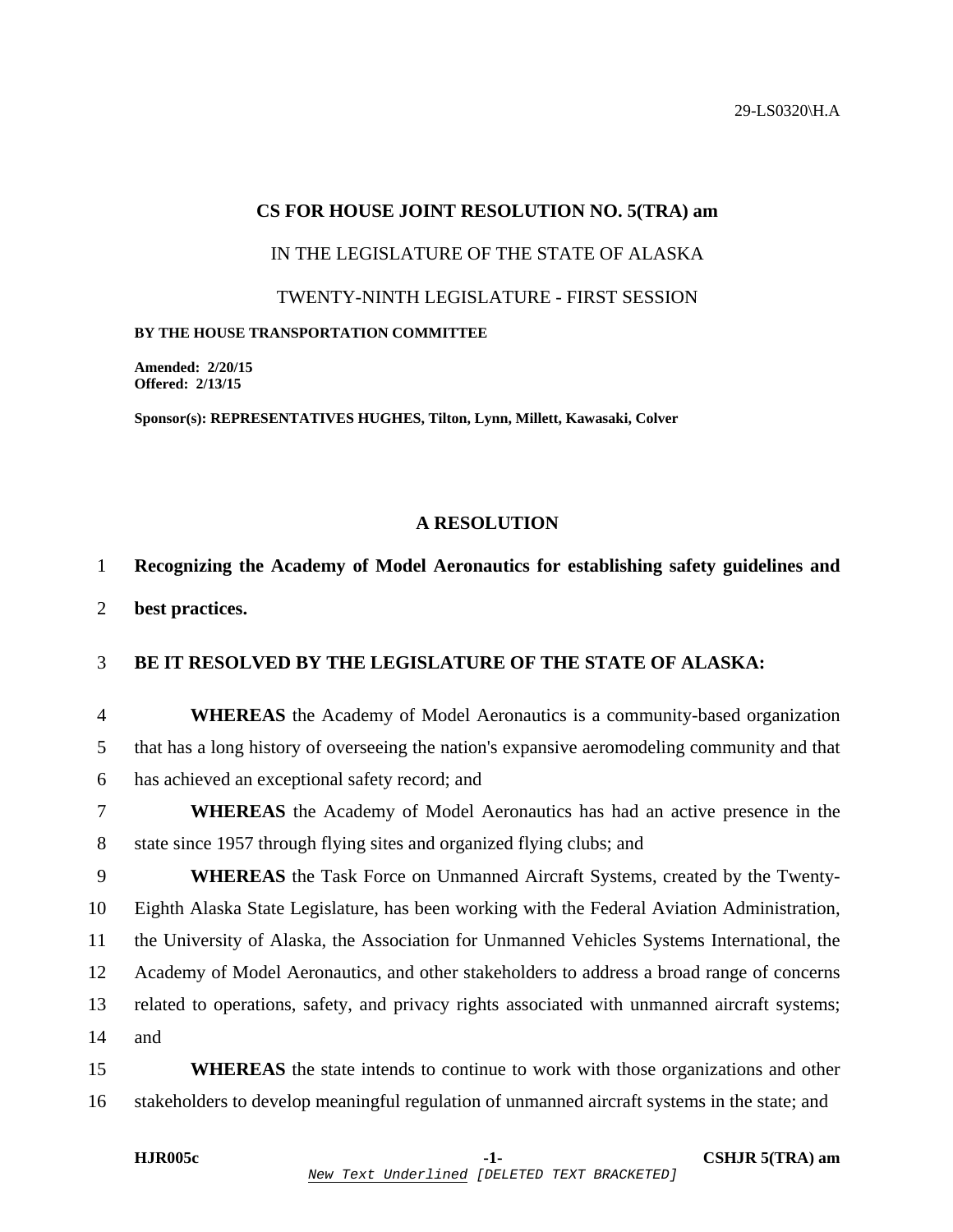29-LS0320\H.A

### **CS FOR HOUSE JOINT RESOLUTION NO. 5(TRA) am**

IN THE LEGISLATURE OF THE STATE OF ALASKA

TWENTY-NINTH LEGISLATURE - FIRST SESSION

#### **BY THE HOUSE TRANSPORTATION COMMITTEE**

**Amended: 2/20/15 Offered: 2/13/15** 

**Sponsor(s): REPRESENTATIVES HUGHES, Tilton, Lynn, Millett, Kawasaki, Colver** 

### **A RESOLUTION**

# 1 **Recognizing the Academy of Model Aeronautics for establishing safety guidelines and**

2 **best practices.** 

# 3 **BE IT RESOLVED BY THE LEGISLATURE OF THE STATE OF ALASKA:**

4 **WHEREAS** the Academy of Model Aeronautics is a community-based organization 5 that has a long history of overseeing the nation's expansive aeromodeling community and that 6 has achieved an exceptional safety record; and

7 **WHEREAS** the Academy of Model Aeronautics has had an active presence in the 8 state since 1957 through flying sites and organized flying clubs; and

9 **WHEREAS** the Task Force on Unmanned Aircraft Systems, created by the Twenty-10 Eighth Alaska State Legislature, has been working with the Federal Aviation Administration, 11 the University of Alaska, the Association for Unmanned Vehicles Systems International, the 12 Academy of Model Aeronautics, and other stakeholders to address a broad range of concerns 13 related to operations, safety, and privacy rights associated with unmanned aircraft systems; 14 and

15 **WHEREAS** the state intends to continue to work with those organizations and other 16 stakeholders to develop meaningful regulation of unmanned aircraft systems in the state; and